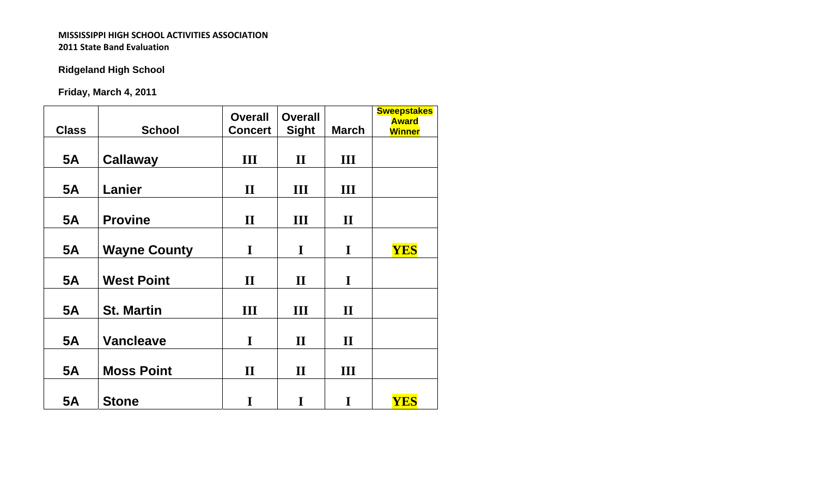# **Ridgeland High School**

**Friday, March 4, 2011**

| <b>Class</b> | <b>School</b>       | <b>Overall</b><br><b>Concert</b> | <b>Overall</b><br><b>Sight</b> | <b>March</b> | <b>Sweepstakes</b><br><b>Award</b><br><b>Winner</b> |
|--------------|---------------------|----------------------------------|--------------------------------|--------------|-----------------------------------------------------|
| <b>5A</b>    | <b>Callaway</b>     | Ш                                | $\mathbf H$                    | Ш            |                                                     |
| <b>5A</b>    | Lanier              | $\mathbf{I}$                     | Ш                              | III          |                                                     |
| <b>5A</b>    | <b>Provine</b>      | $\mathbf{I}$                     | $\mathbf{III}$                 | $\mathbf{I}$ |                                                     |
| <b>5A</b>    | <b>Wayne County</b> | I                                | $\mathbf I$                    | I            | <b>YES</b>                                          |
| <b>5A</b>    | <b>West Point</b>   | $\mathbf{I}$                     | $\mathbf{I}$                   | I            |                                                     |
| <b>5A</b>    | <b>St. Martin</b>   | $\mathbf{III}$                   | $\mathbf{III}$                 | $\mathbf{I}$ |                                                     |
|              |                     |                                  |                                |              |                                                     |
| <b>5A</b>    | <b>Vancleave</b>    | I                                | $\mathbf{I}$                   | $\mathbf{I}$ |                                                     |
| <b>5A</b>    | <b>Moss Point</b>   | $\mathbf{I}$                     | $\mathbf{I}$                   | Ш            |                                                     |
| <b>5A</b>    | <b>Stone</b>        | I                                | I                              | I            | <b>YES</b>                                          |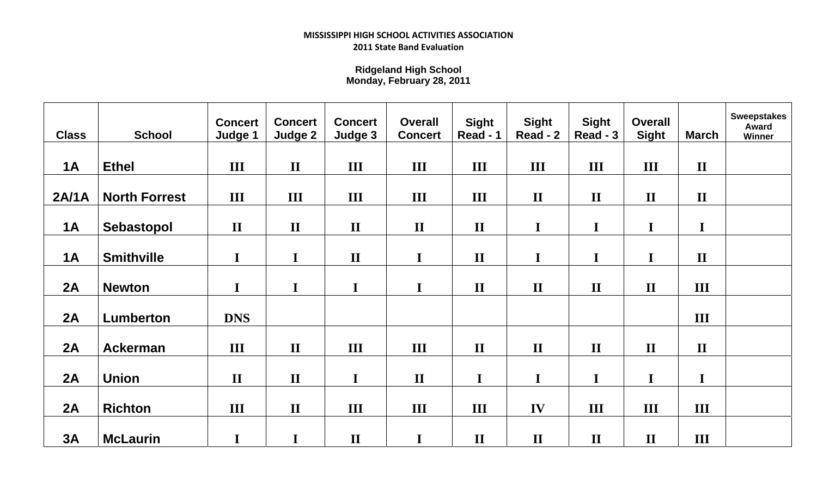**Ridgeland High School Monday, February 28, 2011**

| <b>Class</b> | <b>School</b>        | <b>Concert</b><br>Judge 1 | <b>Concert</b><br>Judge 2 | <b>Concert</b><br>Judge 3 | <b>Overall</b><br><b>Concert</b> | <b>Sight</b><br>Read - 1 | <b>Sight</b><br>Read - 2 | <b>Sight</b><br>Read - 3 | <b>Overall</b><br><b>Sight</b> | <b>March</b> | <b>Sweepstakes</b><br><b>Award</b><br>Winner |
|--------------|----------------------|---------------------------|---------------------------|---------------------------|----------------------------------|--------------------------|--------------------------|--------------------------|--------------------------------|--------------|----------------------------------------------|
|              |                      |                           |                           |                           |                                  |                          |                          |                          |                                |              |                                              |
| <b>1A</b>    | <b>Ethel</b>         | III                       | $\mathbf{I}$              | III                       | III                              | III                      | III                      | III                      | III                            | $\mathbf{I}$ |                                              |
|              |                      |                           |                           |                           |                                  |                          |                          |                          |                                |              |                                              |
| 2A/1A        | <b>North Forrest</b> | III                       | III                       | III                       | III                              | III                      | $\mathbf{I}$             | $\mathbf{I}$             | $\mathbf{I}$                   | $\mathbf{I}$ |                                              |
| <b>1A</b>    | Sebastopol           | $\mathbf{I}$              | $\mathbf{I}$              | $\mathbf{I}$              | $\mathbf{I}$                     | $\mathbf{I}$             | $\mathbf I$              | $\mathbf I$              | I                              | $\mathbf I$  |                                              |
| 1A           | <b>Smithville</b>    | I                         | I                         | $\mathbf{I}$              | $\mathbf I$                      | $\mathbf{I}$             | $\mathbf I$              | $\mathbf I$              | I                              | $\mathbf{I}$ |                                              |
| 2A           | <b>Newton</b>        | I                         | I                         | I                         | I                                | $\mathbf{I}$             | $\mathbf{I}$             | $\mathbf{I}$             | $\mathbf{I}$                   | III          |                                              |
| 2A           | <b>Lumberton</b>     | <b>DNS</b>                |                           |                           |                                  |                          |                          |                          |                                | III          |                                              |
| 2A           | <b>Ackerman</b>      | III                       | $\mathbf{I}$              | III                       | III                              | $\mathbf{I}$             | $\mathbf{I}$             | $\mathbf{I}$             | $\mathbf{I}$                   | $\mathbf{I}$ |                                              |
| 2A           | <b>Union</b>         | $\mathbf{I}$              | $\mathbf{I}$              | I                         | $\mathbf{I}$                     | $\mathbf I$              | $\mathbf I$              | $\mathbf I$              | I                              | $\mathbf I$  |                                              |
| 2A           | <b>Richton</b>       | III                       | $\mathbf{I}$              | III                       | $\mathbf{III}$                   | III                      | IV                       | III                      | III                            | III          |                                              |
| 3A           | <b>McLaurin</b>      | I                         | I                         | $\mathbf{I}$              | $\mathbf I$                      | $\mathbf{I}$             | $\mathbf{I}$             | $\mathbf{I}$             | $\mathbf{I}$                   | III          |                                              |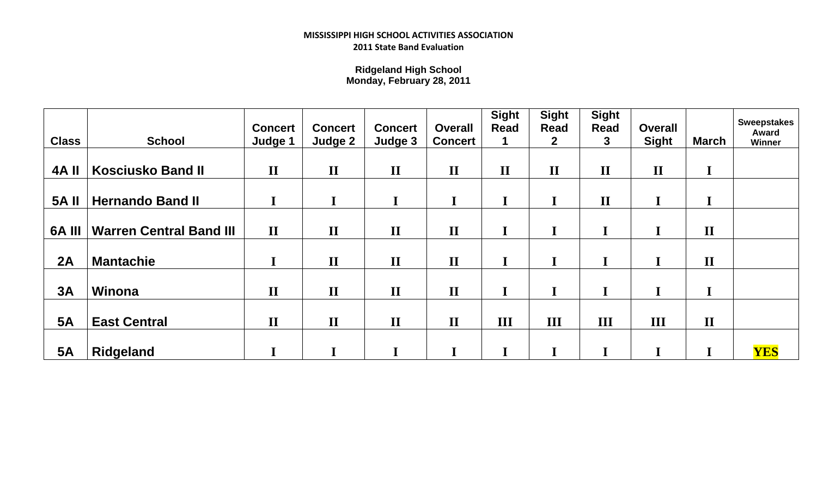**Ridgeland High School Monday, February 28, 2011**

| <b>Class</b>  | <b>School</b>                  | <b>Concert</b><br>Judge 1 | <b>Concert</b><br>Judge 2 | <b>Concert</b><br>Judge 3 | <b>Overall</b><br><b>Concert</b> | <b>Sight</b><br><b>Read</b><br>1. | <b>Sight</b><br><b>Read</b><br>$\mathbf{2}$ | <b>Sight</b><br><b>Read</b><br>3 | <b>Overall</b><br><b>Sight</b> | March        | <b>Sweepstakes</b><br>Award<br><b>Winner</b> |
|---------------|--------------------------------|---------------------------|---------------------------|---------------------------|----------------------------------|-----------------------------------|---------------------------------------------|----------------------------------|--------------------------------|--------------|----------------------------------------------|
| <b>4A II</b>  | <b>Kosciusko Band II</b>       | $\mathbf{I}$              | $\mathbf{I}$              | $\mathbf{I}$              | $\mathbf{I}$                     | $\mathbf{I}$                      | $\mathbf{I}$                                | $\mathbf{I}$                     | $\mathbf{I}$                   |              |                                              |
| <b>5A II</b>  | <b>Hernando Band II</b>        |                           |                           |                           | I                                |                                   | I                                           | $\mathbf{I}$                     |                                |              |                                              |
| <b>6A III</b> | <b>Warren Central Band III</b> | $\mathbf{I}$              | $\mathbf{I}$              | $\mathbf{I}$              | $\mathbf{I}$                     |                                   | I                                           | I                                |                                | $\mathbf{I}$ |                                              |
| 2A            | <b>Mantachie</b>               |                           | $\mathbf{I}$              | $\mathbf{I}$              | $\mathbf{I}$                     |                                   | I                                           |                                  |                                | $\mathbf{I}$ |                                              |
| 3A            | Winona                         | $\mathbf{I}$              | $\mathbf{I}$              | $\mathbf{I}$              | $\mathbf{I}$                     |                                   | I                                           | I                                |                                | T.           |                                              |
| <b>5A</b>     | <b>East Central</b>            | $\mathbf{I}$              | $\mathbf{I}$              | $\mathbf{I}$              | $\mathbf{I}$                     | Ш                                 | III                                         | III                              | III                            | $\mathbf{I}$ |                                              |
| <b>5A</b>     | <b>Ridgeland</b>               |                           |                           |                           |                                  |                                   |                                             |                                  |                                |              | <b>YES</b>                                   |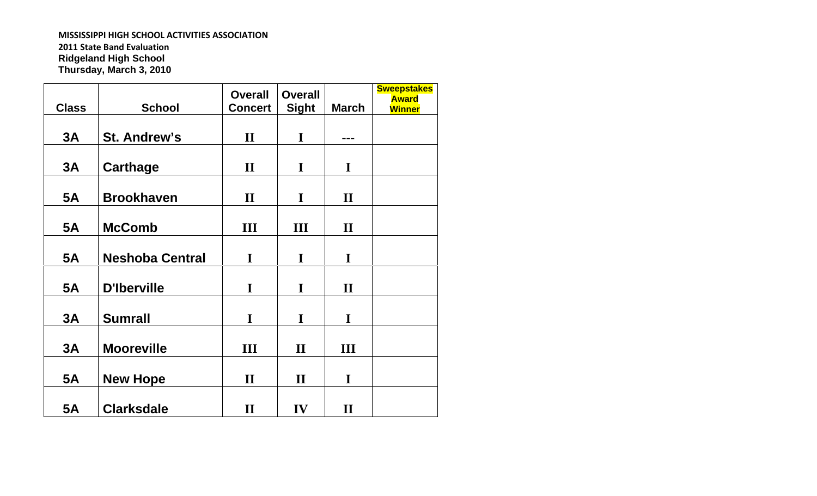#### **MISSISSIPPI HIGH SCHOOL ACTIVITIES ASSOCIATION**

**2011 State Band Evaluation Ridgeland High School Thursday, March 3, 2010**

| <b>Class</b> | <b>School</b>          | <b>Overall</b><br><b>Concert</b> | <b>Overall</b><br><b>Sight</b> | <b>March</b> | <b>Sweepstakes</b><br><b>Award</b><br><b>Winner</b> |
|--------------|------------------------|----------------------------------|--------------------------------|--------------|-----------------------------------------------------|
| 3A           | <b>St. Andrew's</b>    | $\mathbf{I}$                     | I                              | ---          |                                                     |
| 3A           | <b>Carthage</b>        | $\mathbf{I}$                     | $\mathbf I$                    | I            |                                                     |
| <b>5A</b>    | <b>Brookhaven</b>      | $\mathbf{I}$                     | I                              | $\mathbf{I}$ |                                                     |
| <b>5A</b>    | <b>McComb</b>          | $\mathbf{III}$                   | $\mathbf{III}$                 | $\mathbf{I}$ |                                                     |
| <b>5A</b>    | <b>Neshoba Central</b> | I                                | $\mathbf I$                    | $\mathbf I$  |                                                     |
| <b>5A</b>    | <b>D'Iberville</b>     | I                                | $\mathbf I$                    | $\mathbf{I}$ |                                                     |
| 3A           | <b>Sumrall</b>         | I                                | $\mathbf I$                    | I            |                                                     |
| 3A           | <b>Mooreville</b>      | Ш                                | $\mathbf{I}$                   | III          |                                                     |
| <b>5A</b>    | <b>New Hope</b>        | $\mathbf{I}$                     | $\mathbf{I}$                   | I            |                                                     |
| <b>5A</b>    | <b>Clarksdale</b>      | $\mathbf{I}$                     | IV                             | $\mathbf{I}$ |                                                     |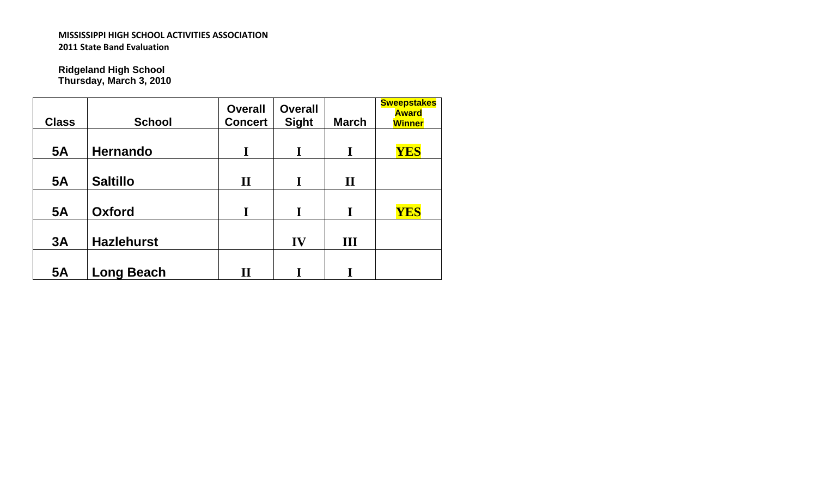**Ridgeland High School Thursday, March 3, 2010**

| <b>Class</b> | <b>School</b>     | <b>Overall</b><br><b>Concert</b> | <b>Overall</b><br><b>Sight</b> | <b>March</b> | <b>Sweepstakes</b><br><b>Award</b><br><b>Winner</b> |
|--------------|-------------------|----------------------------------|--------------------------------|--------------|-----------------------------------------------------|
| <b>5A</b>    | <b>Hernando</b>   | I                                | I                              | I            | YES                                                 |
| <b>5A</b>    | <b>Saltillo</b>   | $\mathbf{I}$                     | I                              | $\mathbf H$  |                                                     |
| <b>5A</b>    | <b>Oxford</b>     | I                                | T                              | T            | YES                                                 |
| 3A           | <b>Hazlehurst</b> |                                  | IV                             | III          |                                                     |
| <b>5A</b>    | <b>Long Beach</b> | $\mathbf{I}$                     |                                |              |                                                     |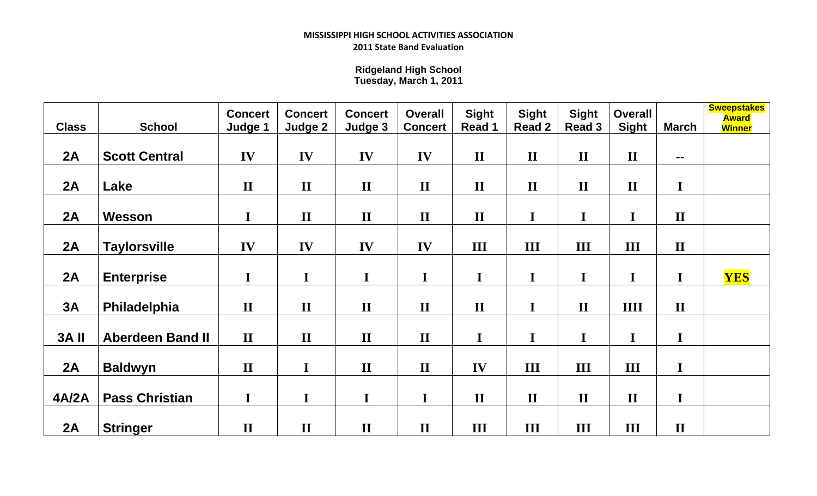**Ridgeland High School Tuesday, March 1, 2011**

| <b>Class</b> | <b>School</b>           | <b>Concert</b><br>Judge 1 | <b>Concert</b><br>Judge 2 | <b>Concert</b><br>Judge 3 | <b>Overall</b><br><b>Concert</b> | <b>Sight</b><br>Read 1 | <b>Sight</b><br><b>Read 2</b> | <b>Sight</b><br><b>Read 3</b> | <b>Overall</b><br><b>Sight</b> | <b>March</b> | <b>Sweepstakes</b><br><b>Award</b><br><b>Winner</b> |
|--------------|-------------------------|---------------------------|---------------------------|---------------------------|----------------------------------|------------------------|-------------------------------|-------------------------------|--------------------------------|--------------|-----------------------------------------------------|
|              |                         |                           |                           |                           |                                  |                        |                               |                               |                                |              |                                                     |
| 2A           | <b>Scott Central</b>    | IV                        | IV                        | IV                        | IV                               | $\mathbf{I}$           | $\mathbf{I}$                  | $\mathbf{I}$                  | $\mathbf{I}$                   | $\sim$ $-$   |                                                     |
|              |                         |                           |                           |                           |                                  |                        |                               |                               |                                |              |                                                     |
| 2A           | Lake                    | $\mathbf{I}$              | $\mathbf{I}$              | $\mathbf{I}$              | $\mathbf{I}$                     | $\mathbf{I}$           | $\mathbf{I}$                  | $\mathbf{I}$                  | $\mathbf{I}$                   | $\mathbf I$  |                                                     |
|              |                         |                           |                           |                           |                                  |                        |                               |                               |                                |              |                                                     |
| 2A           | Wesson                  | I                         | $\mathbf{I}$              | $\mathbf{I}$              | $\mathbf{I}$                     | $\mathbf{I}$           | $\mathbf I$                   | I                             | I                              | $\mathbf{I}$ |                                                     |
|              |                         |                           |                           |                           |                                  |                        |                               |                               |                                |              |                                                     |
| 2A           | <b>Taylorsville</b>     | IV                        | IV                        | IV                        | IV                               | III                    | III                           | III                           | III                            | $\mathbf{I}$ |                                                     |
|              |                         |                           |                           |                           |                                  |                        |                               |                               |                                |              |                                                     |
| 2A           | <b>Enterprise</b>       | $\mathbf I$               | $\mathbf I$               | $\mathbf I$               | $\mathbf I$                      | $\mathbf I$            | $\mathbf I$                   | $\mathbf I$                   | $\mathbf I$                    | $\mathbf I$  | <b>YES</b>                                          |
|              |                         |                           |                           |                           |                                  |                        |                               |                               |                                |              |                                                     |
| 3A           | Philadelphia            | $\mathbf{I}$              | $\mathbf{I}$              | $\mathbf{I}$              | $\mathbf{I}$                     | $\mathbf{I}$           | $\mathbf I$                   | $\mathbf{I}$                  | <b>IIII</b>                    | $\mathbf{I}$ |                                                     |
|              |                         |                           |                           |                           |                                  |                        |                               |                               |                                |              |                                                     |
| <b>3A II</b> | <b>Aberdeen Band II</b> | $\mathbf{I}$              | $\mathbf{I}$              | $\mathbf{I}$              | $\mathbf{I}$                     | $\mathbf I$            | $\mathbf I$                   | I                             | I                              | I            |                                                     |
|              |                         |                           |                           |                           |                                  |                        |                               |                               |                                |              |                                                     |
| 2A           | <b>Baldwyn</b>          | $\mathbf{I}$              | $\mathbf I$               | $\mathbf{I}$              | $\mathbf{I}$                     | IV                     | $\mathbf{III}$                | III                           | III                            | I            |                                                     |
|              |                         |                           |                           |                           |                                  |                        |                               |                               |                                |              |                                                     |
| <b>4A/2A</b> | <b>Pass Christian</b>   | $\mathbf I$               | I                         | $\mathbf I$               | $\mathbf I$                      | $\mathbf{I}$           | $\mathbf{I}$                  | $\mathbf{I}$                  | $\mathbf{I}$                   | $\mathbf I$  |                                                     |
|              |                         |                           |                           |                           |                                  |                        |                               |                               |                                |              |                                                     |
| 2A           | <b>Stringer</b>         | $\mathbf{I}$              | $\mathbf{I}$              | $\mathbf{I}$              | $\mathbf{I}$                     | III                    | III                           | III                           | Ш                              | $\mathbf{I}$ |                                                     |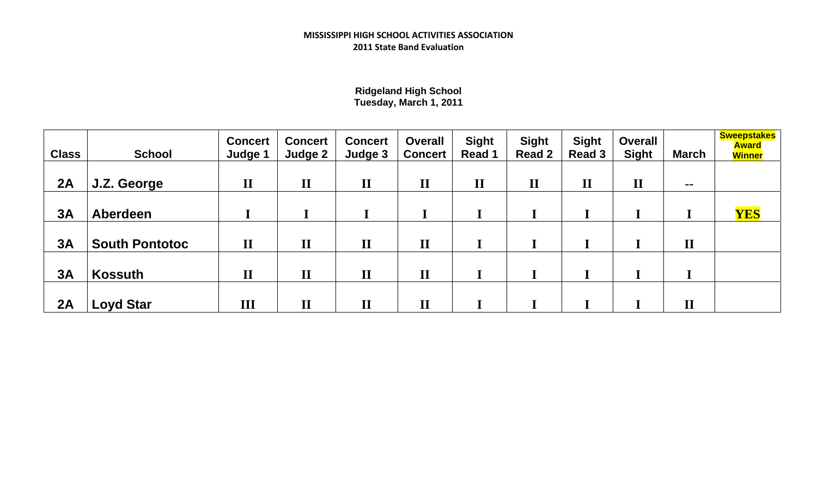# **Ridgeland High School Tuesday, March 1, 2011**

| <b>Class</b> | <b>School</b>         | <b>Concert</b><br>Judge 1 | <b>Concert</b><br>Judge 2 | <b>Concert</b><br>Judge 3 | <b>Overall</b><br><b>Concert</b> | <b>Sight</b><br>Read 1 | <b>Sight</b><br><b>Read 2</b> | <b>Sight</b><br><b>Read 3</b> | <b>Overall</b><br><b>Sight</b> | <b>March</b>           | <b>Sweepstakes</b><br><b>Award</b><br><b>Winner</b> |
|--------------|-----------------------|---------------------------|---------------------------|---------------------------|----------------------------------|------------------------|-------------------------------|-------------------------------|--------------------------------|------------------------|-----------------------------------------------------|
| 2A           | J.Z. George           | $\mathbf{I}$              | $\mathbf{I}$              | $\mathbf{I}$              | $\mathbf{I}$                     | $\mathbf{I}$           | $\mathbf{I}$                  | $\mathbf{I}$                  | $\mathbf{I}$                   | $\sim$ $\sim$          |                                                     |
| 3A           | Aberdeen              |                           |                           |                           |                                  |                        |                               |                               |                                |                        | <b>YES</b>                                          |
| 3A           | <b>South Pontotoc</b> | $\mathbf{I}$              | $\mathbf{I}$              | $\mathbf{I}$              | $\mathbf{I}$                     |                        |                               |                               |                                | $\mathbf{I}$           |                                                     |
| 3A           | <b>Kossuth</b>        | $\mathbf{I}$              | $\mathbf{I}$              | $\mathbf{I}$              | $\mathbf{I}$                     |                        |                               |                               |                                |                        |                                                     |
| 2A           | <b>Loyd Star</b>      | III                       | $\mathbf{I}$              | $\mathbf{I}$              | $\mathbf{I}\mathbf{I}$           |                        |                               |                               |                                | $\mathbf{I}\mathbf{I}$ |                                                     |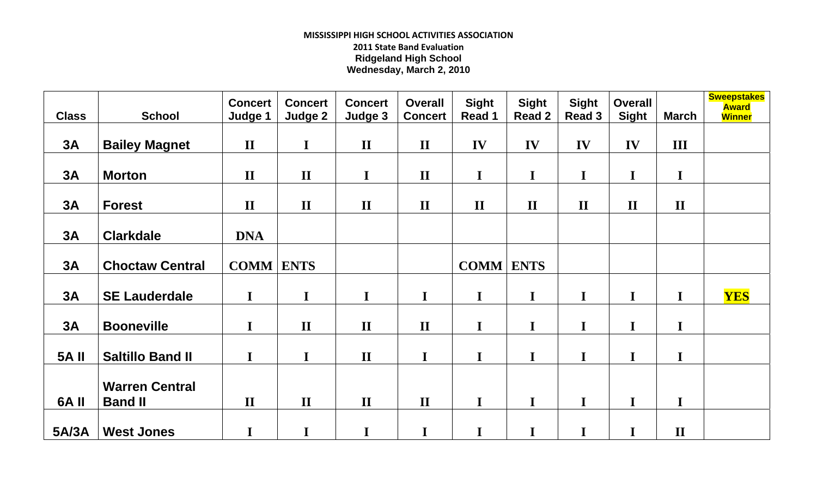## **MISSISSIPPI HIGH SCHOOL ACTIVITIES ASSOCIATION 2011 State Band Evaluation Ridgeland High School Wednesday, March 2, 2010**

| <b>Class</b> | <b>School</b>           | <b>Concert</b><br>Judge 1 | <b>Concert</b><br>Judge 2 | <b>Concert</b><br>Judge 3 | <b>Overall</b><br><b>Concert</b> | <b>Sight</b><br>Read 1 | <b>Sight</b><br><b>Read 2</b> | <b>Sight</b><br>Read 3 | <b>Overall</b><br><b>Sight</b> | <b>March</b> | <b>Sweepstakes</b><br><b>Award</b><br><b>Winner</b> |
|--------------|-------------------------|---------------------------|---------------------------|---------------------------|----------------------------------|------------------------|-------------------------------|------------------------|--------------------------------|--------------|-----------------------------------------------------|
| 3A           | <b>Bailey Magnet</b>    | $\mathbf{I}$              | $\mathbf I$               | $\mathbf{I}$              | $\mathbf{I}$                     | IV                     | IV                            | IV                     | IV                             | III          |                                                     |
| 3A           | <b>Morton</b>           | $\mathbf{I}$              | $\mathbf{I}$              | $\mathbf I$               | $\mathbf{I}$                     | $\mathbf I$            | $\mathbf I$                   | $\mathbf I$            | $\mathbf I$                    | $\mathbf I$  |                                                     |
| 3A           | <b>Forest</b>           | $\mathbf{I}$              | $\mathbf{I}$              | $\mathbf{I}$              | $\mathbf{I}$                     | $\mathbf{I}$           | $\mathbf{I}$                  | $\mathbf{I}$           | $\mathbf{I}$                   | $\mathbf{I}$ |                                                     |
| 3A           | <b>Clarkdale</b>        | <b>DNA</b>                |                           |                           |                                  |                        |                               |                        |                                |              |                                                     |
| 3A           | <b>Choctaw Central</b>  | <b>COMM</b>               | <b>ENTS</b>               |                           |                                  | <b>COMM ENTS</b>       |                               |                        |                                |              |                                                     |
| 3A           | <b>SE Lauderdale</b>    | $\mathbf I$               | $\mathbf I$               | $\mathbf I$               | $\mathbf I$                      | $\mathbf I$            | $\mathbf I$                   | I                      | $\mathbf I$                    | $\mathbf I$  | <b>YES</b>                                          |
| 3A           | <b>Booneville</b>       | $\mathbf I$               | $\mathbf{I}$              | $\mathbf{I}$              | $\mathbf{I}$                     | $\mathbf I$            | $\mathbf I$                   | I                      | I                              | $\mathbf I$  |                                                     |
| <b>5A II</b> | <b>Saltillo Band II</b> | $\mathbf I$               | I                         | $\mathbf{I}$              | $\mathbf I$                      | $\mathbf I$            | $\mathbf I$                   | I                      | I                              | I            |                                                     |
|              | <b>Warren Central</b>   |                           |                           |                           |                                  |                        |                               |                        |                                |              |                                                     |
| 6A II        | <b>Band II</b>          | $\mathbf{I}$              | $\mathbf{I}$              | $\mathbf{I}$              | $\mathbf{I}$                     | $\mathbf I$            | $\mathbf I$                   | I                      | $\mathbf I$                    | $\mathbf I$  |                                                     |
| 5A/3A        | <b>West Jones</b>       | $\mathbf I$               | I                         | $\mathbf I$               | $\mathbf I$                      | $\mathbf I$            | $\mathbf I$                   | I                      | $\mathbf I$                    | $\mathbf{I}$ |                                                     |